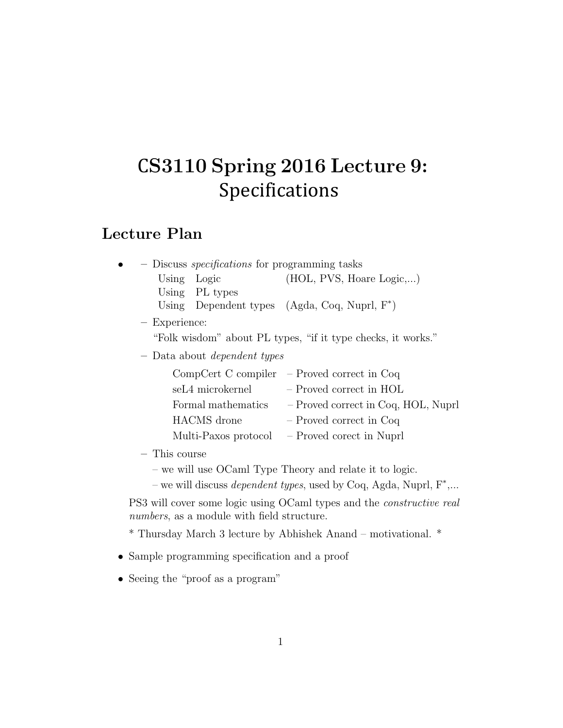## CS3110 Spring 2016 Lecture 9: Specifications

### Lecture Plan

| - Discuss <i>specifications</i> for programming tasks        |                      |                                                 |
|--------------------------------------------------------------|----------------------|-------------------------------------------------|
| Using Logic                                                  |                      | (HOL, PVS, Hoare Logic,)                        |
| Using PL types                                               |                      |                                                 |
|                                                              |                      | Using Dependent types $(Agda, Coq, Nuprl, F^*)$ |
| - Experience:                                                |                      |                                                 |
| "Folk wisdom" about PL types, "if it type checks, it works." |                      |                                                 |
| $-$ Data about <i>dependent types</i>                        |                      |                                                 |
| $CompCert C compiler - Proved correct in Coq$                |                      |                                                 |
| seL4 microkernel                                             |                      | $-$ Proved correct in HOL                       |
| Formal mathematics                                           |                      | - Proved correct in Coq, HOL, Nuprl             |
| <b>HACMS</b> drone                                           |                      | - Proved correct in Coq                         |
|                                                              | Multi-Paxos protocol | - Proved corect in Nuprl                        |

– This course

– we will use OCaml Type Theory and relate it to logic.

– we will discuss *dependent types*, used by Coq, Agda, Nuprl, F<sup>\*</sup>,...

PS3 will cover some logic using OCaml types and the constructive real numbers, as a module with field structure.

\* Thursday March 3 lecture by Abhishek Anand – motivational. \*

- Sample programming specification and a proof
- Seeing the "proof as a program"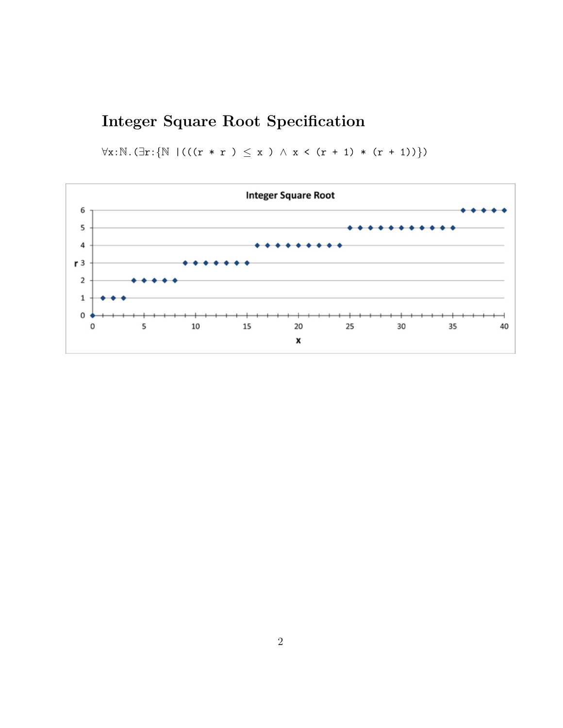## Integer Square Root Specification

 $\forall x:\mathbb{N}.(\exists r:\{\mathbb{N} \mid (((r*r)(x)*r) < x) \wedge x < (r+1) * (r+1))\})$ 

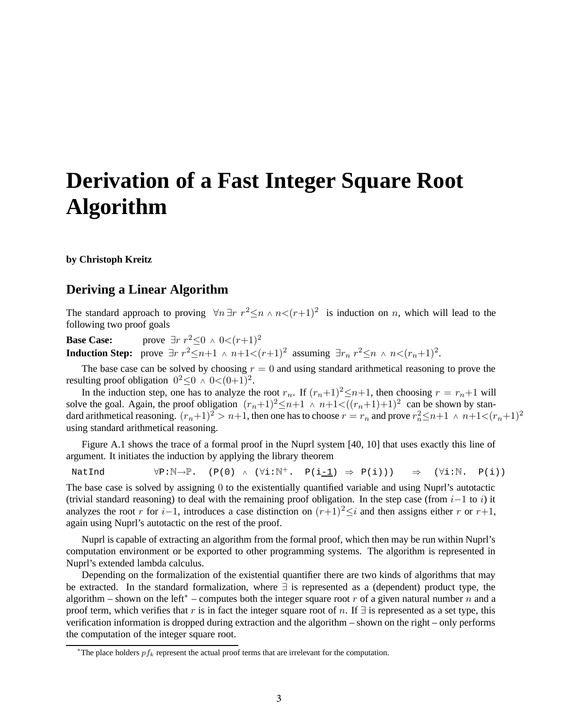# **Derivation of a Fast Integer Square Root Algorithm**

**by Christoph Kreitz**

#### **Deriving a Linear Algorithm**

The standard approach to proving  $\forall n \exists r \ r^2 \leq n \land n < (r+1)^2$  is induction on *n*, which will lead to the following two proof goals

**Base Case:** prove  $\exists r \ r^2 \leq 0 \land 0 < (r+1)^2$ **Induction Step:** prove  $\exists r \; r^2 \leq n+1 \land n+1 < (r+1)^2$  assuming  $\exists r_n \; r^2 \leq n \land n < (r_n+1)^2$ .

The base case can be solved by choosing  $r = 0$  and using standard arithmetical reasoning to prove the resulting proof obligation  $0^2 \le 0 \land 0 < (0+1)^2$ .

In the induction step, one has to analyze the root  $r_n$ . If  $(r_n+1)^2 \leq n+1$ , then choosing  $r = r_n+1$  will solve the goal. Again, the proof obligation  $(r_n+1)^2 \le n+1 \wedge (r_n+1) + 1$   $\in ((r_n+1)+1)^2$  can be shown by standard arithmetical reasoning.  $(r_n+1)^2 > n+1$ , then one has to choose  $r = r_n$  and prove  $r_n^2 \le n+1 \le n+1 < (r_n+1)^2$ using standard arithmetical reasoning.

Figure A.1 shows the trace of a formal proof in the Nuprl system [40, 10] that uses exactly this line of argument. It initiates the induction by applying the library theorem

NatInd  $\forall P:\mathbb{N}\rightarrow\mathbb{P}$ . (P(0) ∧ ( $\forall i:\mathbb{N}^+$ . P(i\_1)  $\Rightarrow$  P(i)))  $\Rightarrow$  ( $\forall i:\mathbb{N}$ . P(i))

The base case is solved by assigning 0 to the existentially quantified variable and using Nuprl's autotactic (trivial standard reasoning) to deal with the remaining proof obligation. In the step case (from  $i-1$  to i) it analyzes the root r for i–1, introduces a case distinction on  $(r+1)^2 ≤ i$  and then assigns either r or r+1, again using Nuprl's autotactic on the rest of the proof.

Nuprl is capable of extracting an algorithm from the formal proof, which then may be run within Nuprl's computation environment or be exported to other programming systems. The algorithm is represented in Nuprl's extended lambda calculus.

Depending on the formalization of the existential quantifier there are two kinds of algorithms that may be extracted. In the standard formalization, where ∃ is represented as a (dependent) product type, the algorithm – shown on the left<sup>\*</sup> – computes both the integer square root r of a given natural number n and a proof term, which verifies that r is in fact the integer square root of n. If  $\exists$  is represented as a set type, this verification information is dropped during extraction and the algorithm – shown on the right – only performs the computation of the integer square root.

<sup>\*</sup>The place holders  $pf_k$  represent the actual proof terms that are irrelevant for the computation.